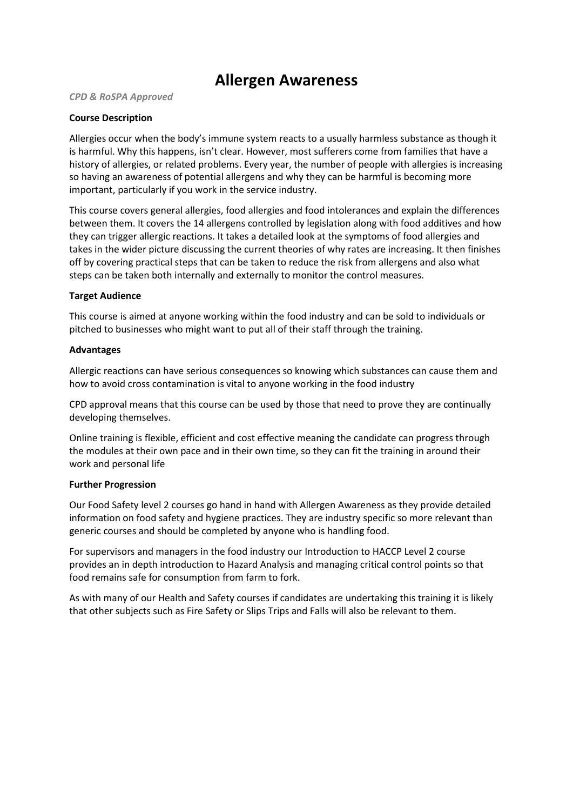# **Allergen Awareness**

#### *CPD & RoSPA Approved*

## **Course Description**

Allergies occur when the body's immune system reacts to a usually harmless substance as though it is harmful. Why this happens, isn't clear. However, most sufferers come from families that have a history of allergies, or related problems. Every year, the number of people with allergies is increasing so having an awareness of potential allergens and why they can be harmful is becoming more important, particularly if you work in the service industry.

This course covers general allergies, food allergies and food intolerances and explain the differences between them. It covers the 14 allergens controlled by legislation along with food additives and how they can trigger allergic reactions. It takes a detailed look at the symptoms of food allergies and takes in the wider picture discussing the current theories of why rates are increasing. It then finishes off by covering practical steps that can be taken to reduce the risk from allergens and also what steps can be taken both internally and externally to monitor the control measures.

### **Target Audience**

This course is aimed at anyone working within the food industry and can be sold to individuals or pitched to businesses who might want to put all of their staff through the training.

### **Advantages**

Allergic reactions can have serious consequences so knowing which substances can cause them and how to avoid cross contamination is vital to anyone working in the food industry

CPD approval means that this course can be used by those that need to prove they are continually developing themselves.

Online training is flexible, efficient and cost effective meaning the candidate can progress through the modules at their own pace and in their own time, so they can fit the training in around their work and personal life

#### **Further Progression**

Our Food Safety level 2 courses go hand in hand with Allergen Awareness as they provide detailed information on food safety and hygiene practices. They are industry specific so more relevant than generic courses and should be completed by anyone who is handling food.

For supervisors and managers in the food industry our Introduction to HACCP Level 2 course provides an in depth introduction to Hazard Analysis and managing critical control points so that food remains safe for consumption from farm to fork.

As with many of our Health and Safety courses if candidates are undertaking this training it is likely that other subjects such as Fire Safety or Slips Trips and Falls will also be relevant to them.